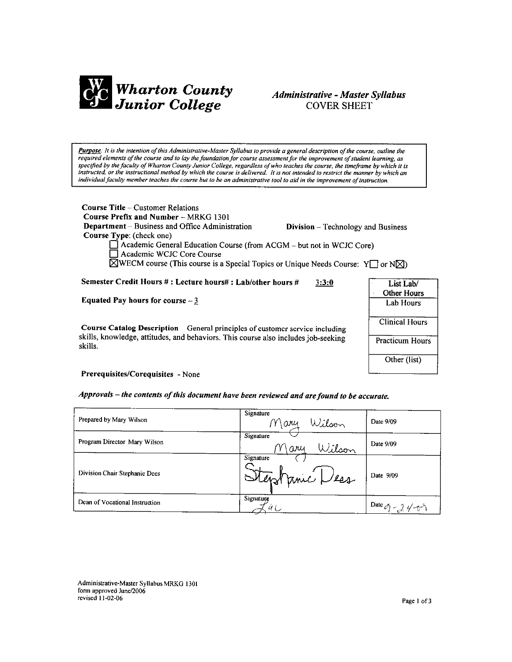

# **Administrative - Master Syllabus COVER SHEET**

Purpose: It is the intention of this Administrative-Master Syllabus to provide a general description of the course, outline the required elements of the course and to lay the foundation for course assessment for the improvement of student learning, as specified by the faculty of Wharton County Junior College, regardless of who teaches the course, the timeframe by which it is instructed, or the instructional method by which the course is delivered. It is not intended to restrict the manner by which an individual faculty member teaches the course but to be an administrative tool to aid in the improvement of instruction.

**Course Title - Customer Relations** Course Prefix and Number - MRKG 1301 **Department** – Business and Office Administration Course Type: (check one)

**Division** – Technology and Business

 $\Box$  Academic General Education Course (from ACGM – but not in WCJC Core) Academic WCJC Core Course

 $\boxtimes$ WECM course (This course is a Special Topics or Unique Needs Course: Y $\Box$  or N $\boxtimes$ )

Semester Credit Hours #: Lecture hours#: Lab/other hours #  $3:3:0$ 

Equated Pay hours for course  $-3$ 

Course Catalog Description - General principles of customer service including skills, knowledge, attitudes, and behaviors. This course also includes job-seeking skills.

| List Lab/<br><b>Other Hours</b> |
|---------------------------------|
| Lab Hours                       |
| <b>Clinical Hours</b>           |
| <b>Practicum Hours</b>          |
| Other (list)                    |

Prerequisites/Corequisites - None

Approvals – the contents of this document have been reviewed and are found to be accurate.

| Prepared by Mary Wilson        | Signature<br>Wilson<br>$M$ ary | Date 9/09                             |
|--------------------------------|--------------------------------|---------------------------------------|
| Program Director Mary Wilson   | Signature<br>Wilson<br>Mary    | Date 9/09                             |
| Division Chair Stephanie Dees  | Signature<br>Stephanic Less    | Date 9/09                             |
| Dean of Vocational Instruction | Signature<br>Ý L               | Date $\mathscr{O}_1$ - 2 $\sqrt{v^2}$ |

Administrative-Master Syllabus MRKG 1301 form approved June/2006 revised 11-02-06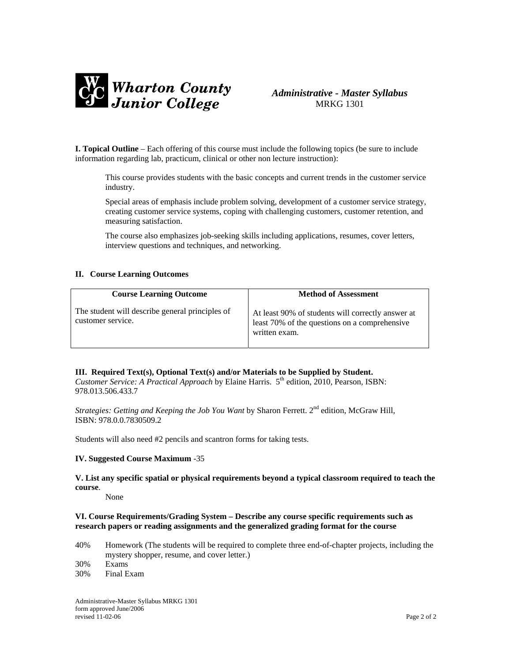

# *Administrative - Master Syllabus*  MRKG 1301

**I. Topical Outline** – Each offering of this course must include the following topics (be sure to include information regarding lab, practicum, clinical or other non lecture instruction):

This course provides students with the basic concepts and current trends in the customer service industry.

Special areas of emphasis include problem solving, development of a customer service strategy, creating customer service systems, coping with challenging customers, customer retention, and measuring satisfaction.

The course also emphasizes job-seeking skills including applications, resumes, cover letters, interview questions and techniques, and networking.

### **II. Course Learning Outcomes**

| <b>Course Learning Outcome</b>                                       | <b>Method of Assessment</b>                                                                                         |
|----------------------------------------------------------------------|---------------------------------------------------------------------------------------------------------------------|
| The student will describe general principles of<br>customer service. | At least 90% of students will correctly answer at<br>least 70% of the questions on a comprehensive<br>written exam. |

## **III. Required Text(s), Optional Text(s) and/or Materials to be Supplied by Student.**

*Customer Service: A Practical Approach* by Elaine Harris. 5th edition, 2010, Pearson, ISBN: 978.013.506.433.7

*Strategies: Getting and Keeping the Job You Want* by Sharon Ferrett. 2<sup>nd</sup> edition, McGraw Hill, ISBN: 978.0.0.7830509.2

Students will also need #2 pencils and scantron forms for taking tests.

#### **IV. Suggested Course Maximum** -35

### **V. List any specific spatial or physical requirements beyond a typical classroom required to teach the course**.

None

### **VI. Course Requirements/Grading System – Describe any course specific requirements such as research papers or reading assignments and the generalized grading format for the course**

- 40% Homework (The students will be required to complete three end-of-chapter projects, including the mystery shopper, resume, and cover letter.)
- 30% Exams
- 30% Final Exam

Administrative-Master Syllabus MRKG 1301 form approved June/2006 revised 11-02-06 Page 2 of 2